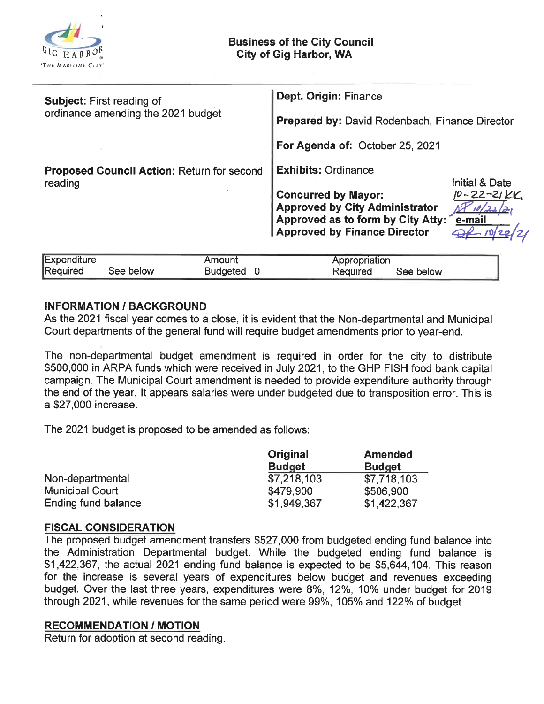

| Expenditure |           | Amoun    | Appropriation         |  |
|-------------|-----------|----------|-----------------------|--|
| Required    | See below | Budgeted | See below<br>Reauired |  |

## INFORMATION / BACKGROUND

As the 2021 fiscal year comes to a close, it is evident that the Non-departmental and Municipal Court departments of the general fund will require budget amendments prior to year-end.

The non-departmental budget amendment is required in order for the city to distribute \$500, 000 in ARPA funds which were received in July 2021, to the GHP FISH food bank capital campaign. The Municipal Court amendment is needed to provide expenditure authority through the end of the year. It appears salaries were under budgeted due to transposition error. This is a \$27, 000 increase.

The 2021 budget is proposed to be amended as follows:

|                        | Original      | <b>Amended</b> |  |
|------------------------|---------------|----------------|--|
|                        | <b>Budget</b> | <b>Budget</b>  |  |
| Non-departmental       | \$7,218,103   | \$7,718,103    |  |
| <b>Municipal Court</b> | \$479,900     | \$506,900      |  |
| Ending fund balance    | \$1,949,367   | \$1,422,367    |  |

### FISCAL CONSIDERATION

The proposed budget amendment transfers \$527, 000 from budgeted ending fund balance into the Administration Departmental budget. While the budgeted ending fund balance is \$1, 422, 367, the actual 2021 ending fund balance is expected to be \$5, 644, 104. This reason for the increase is several years of expenditures below budget and revenues exceeding budget. Over the last three years, expenditures were 8%, 12%, 10% under budget for 2019 through 2021, while revenues for the same period were 99%, 105% and 122% of budget

### RECOMMENDATION / MOTION

Return for adoption at second reading.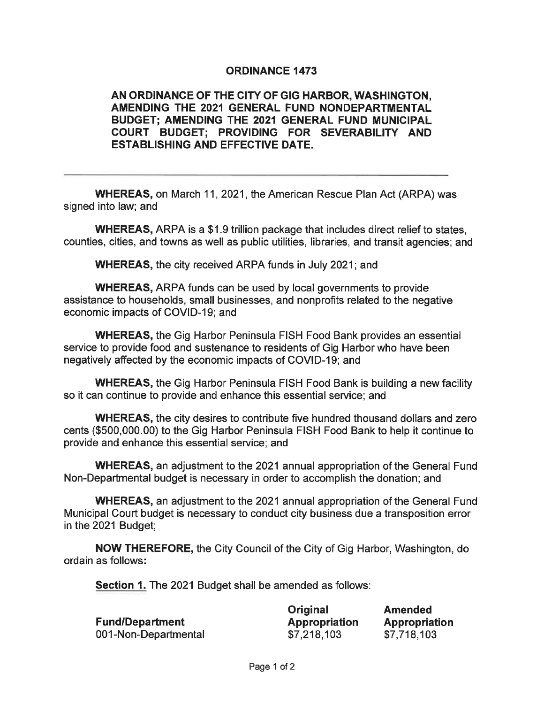# ORDINANCE 1473

# AN ORDINANCE OF THE CITY OF GIG HARBOR, WASHINGTON, AMENDING THE 2021 GENERAL FUND NONDEPARTMENTAL BUDGET; AMENDING THE 2021 GENERAL FUND MUNICIPAL COURT BUDGET; PROVIDING FOR SEVERABILFY AND ESTABLISHING AND EFFECTIVE DATE.

WHEREAS, on March 11, 2021, the American Rescue Plan Act (ARPA) was signed into law; and

WHEREAS, ARPA is a \$1.9 trillion package that includes direct relief to states, counties, cities, and towns as well as public utilities, libraries, and transit agencies; and

WHEREAS, the city received ARPA funds in July 2021; and

WHEREAS, ARPA funds can be used by local governments to provide assistance to households, small businesses, and nonprofits related to the negative economic impacts of COVID-19; and

WHEREAS, the Gig Harbor Peninsula FISH Food Bank provides an essential service to provide food and sustenance to residents of Gig Harbor who have been negatively affected by the economic impacts of COVID-19; and

WHEREAS, the Gig Harbor Peninsula FISH Food Bank is building a new facility so it can continue to provide and enhance this essential service; and

WHEREAS, the city desires to contribute five hundred thousand dollars and zero cents (\$500, 000. 00) to the Gig Harbor Peninsula FISH Food Bank to help it continue to provide and enhance this essential service; and

WHEREAS, an adjustment to the 2021 annual appropriation of the General Fund Non-Departmental budget is necessary in order to accomplish the donation; and

WHEREAS, an adjustment to the 2021 annual appropriation of the General Fund Municipal Court budget is necessary to conduct city business due a transposition error in the 2021 Budget;

NOW THEREFORE, the City Council of the City of Gig Harbor, Washington, do ordain as follows:

Section 1. The 2021 Budget shall be amended as follows:

|                      | Original             | <b>Amended</b> |
|----------------------|----------------------|----------------|
| Fund/Department      | <b>Appropriation</b> | Appropriation  |
| 001-Non-Departmental | \$7,218,103          | \$7,718,103    |